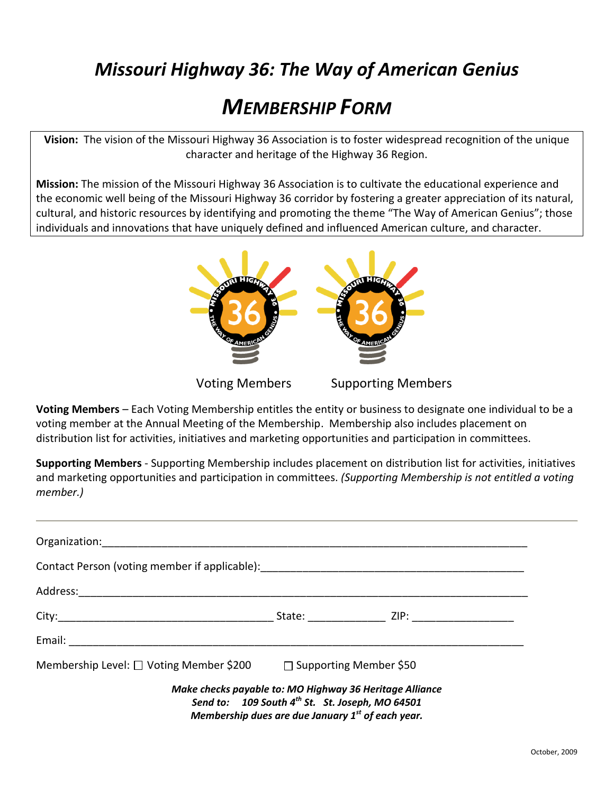## *Missouri Highway 36: The Way of American Genius*

# *MEMBERSHIP FORM*

**Vision:** The vision of the Missouri Highway 36 Association is to foster widespread recognition of the unique character and heritage of the Highway 36 Region.

**Mission:** The mission of the Missouri Highway 36 Association is to cultivate the educational experience and the economic well being of the Missouri Highway 36 corridor by fostering a greater appreciation of its natural, cultural, and historic resources by identifying and promoting the theme "The Way of American Genius"; those individuals and innovations that have uniquely defined and influenced American culture, and character.



**Voting Members** – Each Voting Membership entitles the entity or business to designate one individual to be a voting member at the Annual Meeting of the Membership. Membership also includes placement on distribution list for activities, initiatives and marketing opportunities and participation in committees.

**Supporting Members** - Supporting Membership includes placement on distribution list for activities, initiatives and marketing opportunities and participation in committees. *(Supporting Membership is not entitled a voting member.)* 

| Contact Person (voting member if applicable): __________________________________ |  |                                                                                                                                                                                         |  |
|----------------------------------------------------------------------------------|--|-----------------------------------------------------------------------------------------------------------------------------------------------------------------------------------------|--|
|                                                                                  |  |                                                                                                                                                                                         |  |
|                                                                                  |  | State: ZIP: ZIP:                                                                                                                                                                        |  |
|                                                                                  |  |                                                                                                                                                                                         |  |
| Membership Level: □ Voting Member \$200    □ Supporting Member \$50              |  |                                                                                                                                                                                         |  |
|                                                                                  |  | Make checks payable to: MO Highway 36 Heritage Alliance<br>Send to: 109 South 4 <sup>th</sup> St. St. Joseph, MO 64501<br>Membership dues are due January 1 <sup>st</sup> of each year. |  |